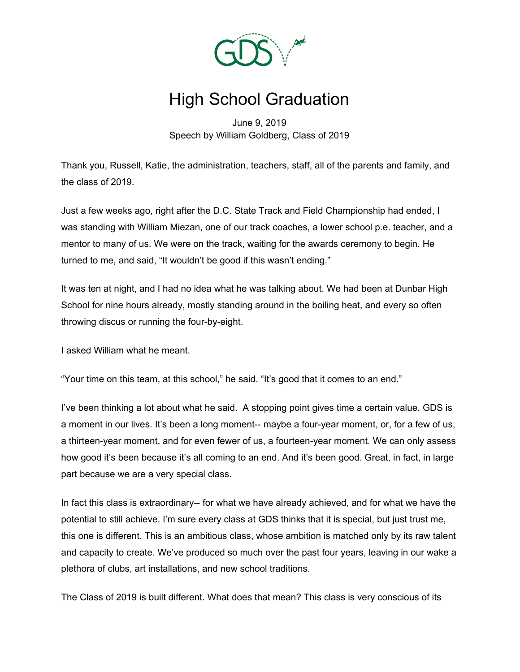

## High School Graduation

June 9, 2019 Speech by William Goldberg, Class of 2019

Thank you, Russell, Katie, the administration, teachers, staff, all of the parents and family, and the class of 2019.

Just a few weeks ago, right after the D.C. State Track and Field Championship had ended, I was standing with William Miezan, one of our track coaches, a lower school p.e. teacher, and a mentor to many of us. We were on the track, waiting for the awards ceremony to begin. He turned to me, and said, "It wouldn't be good if this wasn't ending."

It was ten at night, and I had no idea what he was talking about. We had been at Dunbar High School for nine hours already, mostly standing around in the boiling heat, and every so often throwing discus or running the four-by-eight.

I asked William what he meant.

"Your time on this team, at this school," he said. "It's good that it comes to an end."

I've been thinking a lot about what he said. A stopping point gives time a certain value. GDS is a moment in our lives. It's been a long moment-- maybe a four-year moment, or, for a few of us, a thirteen-year moment, and for even fewer of us, a fourteen-year moment. We can only assess how good it's been because it's all coming to an end. And it's been good. Great, in fact, in large part because we are a very special class.

In fact this class is extraordinary-- for what we have already achieved, and for what we have the potential to still achieve. I'm sure every class at GDS thinks that it is special, but just trust me, this one is different. This is an ambitious class, whose ambition is matched only by its raw talent and capacity to create. We've produced so much over the past four years, leaving in our wake a plethora of clubs, art installations, and new school traditions.

The Class of 2019 is built different. What does that mean? This class is very conscious of its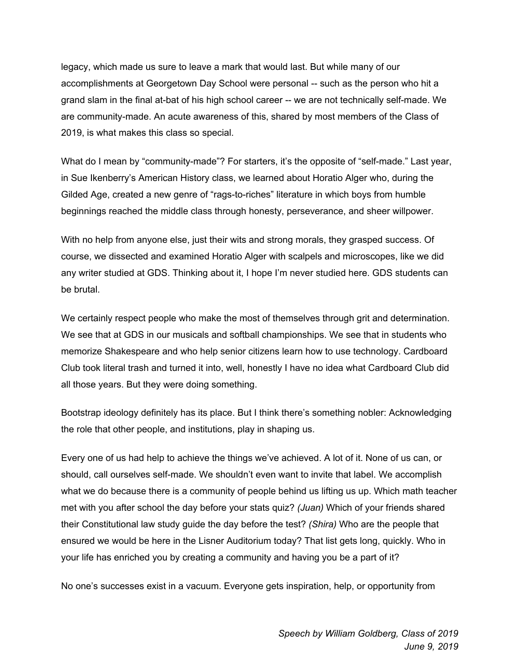legacy, which made us sure to leave a mark that would last. But while many of our accomplishments at Georgetown Day School were personal -- such as the person who hit a grand slam in the final at-bat of his high school career -- we are not technically self-made. We are community-made. An acute awareness of this, shared by most members of the Class of 2019, is what makes this class so special.

What do I mean by "community-made"? For starters, it's the opposite of "self-made." Last year, in Sue Ikenberry's American History class, we learned about Horatio Alger who, during the Gilded Age, created a new genre of "rags-to-riches" literature in which boys from humble beginnings reached the middle class through honesty, perseverance, and sheer willpower.

With no help from anyone else, just their wits and strong morals, they grasped success. Of course, we dissected and examined Horatio Alger with scalpels and microscopes, like we did any writer studied at GDS. Thinking about it, I hope I'm never studied here. GDS students can be brutal.

We certainly respect people who make the most of themselves through grit and determination. We see that at GDS in our musicals and softball championships. We see that in students who memorize Shakespeare and who help senior citizens learn how to use technology. Cardboard Club took literal trash and turned it into, well, honestly I have no idea what Cardboard Club did all those years. But they were doing something.

Bootstrap ideology definitely has its place. But I think there's something nobler: Acknowledging the role that other people, and institutions, play in shaping us.

Every one of us had help to achieve the things we've achieved. A lot of it. None of us can, or should, call ourselves self-made. We shouldn't even want to invite that label. We accomplish what we do because there is a community of people behind us lifting us up. Which math teacher met with you after school the day before your stats quiz? *(Juan)* Which of your friends shared their Constitutional law study guide the day before the test? *(Shira)* Who are the people that ensured we would be here in the Lisner Auditorium today? That list gets long, quickly. Who in your life has enriched you by creating a community and having you be a part of it?

No one's successes exist in a vacuum. Everyone gets inspiration, help, or opportunity from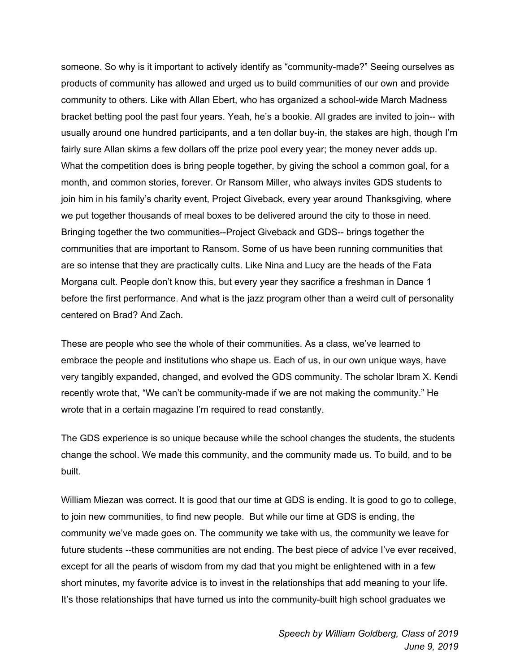someone. So why is it important to actively identify as "community-made?" Seeing ourselves as products of community has allowed and urged us to build communities of our own and provide community to others. Like with Allan Ebert, who has organized a school-wide March Madness bracket betting pool the past four years. Yeah, he's a bookie. All grades are invited to join-- with usually around one hundred participants, and a ten dollar buy-in, the stakes are high, though I'm fairly sure Allan skims a few dollars off the prize pool every year; the money never adds up. What the competition does is bring people together, by giving the school a common goal, for a month, and common stories, forever. Or Ransom Miller, who always invites GDS students to join him in his family's charity event, Project Giveback, every year around Thanksgiving, where we put together thousands of meal boxes to be delivered around the city to those in need. Bringing together the two communities--Project Giveback and GDS-- brings together the communities that are important to Ransom. Some of us have been running communities that are so intense that they are practically cults. Like Nina and Lucy are the heads of the Fata Morgana cult. People don't know this, but every year they sacrifice a freshman in Dance 1 before the first performance. And what is the jazz program other than a weird cult of personality centered on Brad? And Zach.

These are people who see the whole of their communities. As a class, we've learned to embrace the people and institutions who shape us. Each of us, in our own unique ways, have very tangibly expanded, changed, and evolved the GDS community. The scholar Ibram X. Kendi recently wrote that, "We can't be community-made if we are not making the community." He wrote that in a certain magazine I'm required to read constantly.

The GDS experience is so unique because while the school changes the students, the students change the school. We made this community, and the community made us. To build, and to be built.

William Miezan was correct. It is good that our time at GDS is ending. It is good to go to college, to join new communities, to find new people. But while our time at GDS is ending, the community we've made goes on. The community we take with us, the community we leave for future students --these communities are not ending. The best piece of advice I've ever received, except for all the pearls of wisdom from my dad that you might be enlightened with in a few short minutes, my favorite advice is to invest in the relationships that add meaning to your life. It's those relationships that have turned us into the community-built high school graduates we